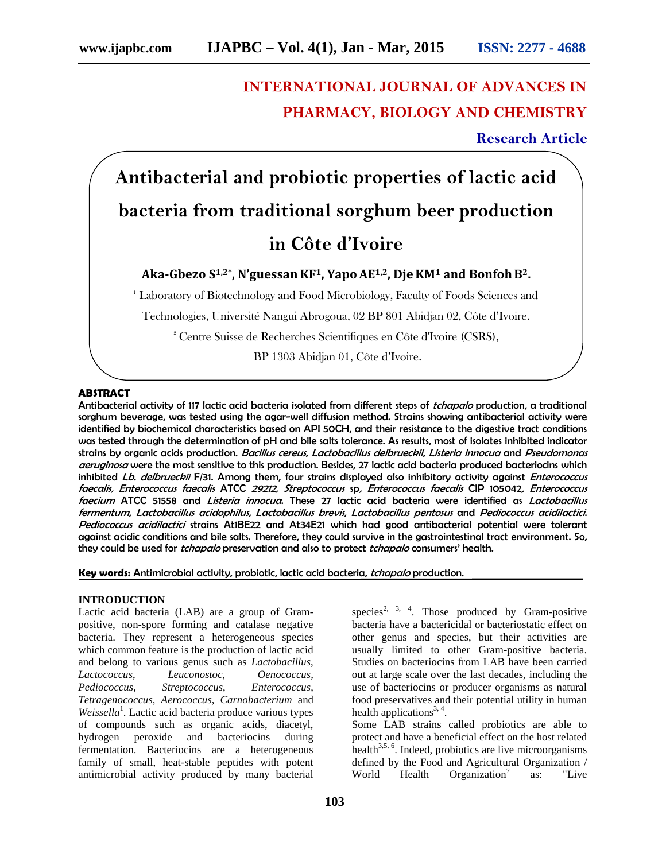# **INTERNATIONAL JOURNAL OF ADVANCES IN PHARMACY, BIOLOGY AND CHEMISTRY**

**Research Article**

**Antibacterial and probiotic properties of lactic acid bacteria from traditional sorghum beer production in Côte d'Ivoire**

## **Aka-Gbezo S1,2\*, N'guessanKF1, YapoAE1,2, DjeKM<sup>1</sup> and BonfohB2.**

<sup>1</sup> Laboratory of Biotechnology and Food Microbiology, Faculty of Foods Sciences and

Technologies, Université Nangui Abrogoua, 02 BP 801 Abidjan 02, Côte d'Ivoire.

<sup>2</sup> Centre Suisse de Recherches Scientifiques en Côte d'Ivoire (CSRS),

BP 1303 Abidjan 01, Côte d'Ivoire.

#### **ABSTRACT**

Antibacterial activity of 117 lactic acid bacteria isolated from different steps of *tchapalo* production, a traditional sorghum beverage, was tested using the agar-well diffusion method. Strains showing antibacterial activity were identified by biochemical characteristics based on API 50CH, and their resistance to the digestive tract conditions was tested through the determination of pH and bile salts tolerance. As results, most of isolates inhibited indicator strains by organic acids production. *Bacillus cereus*, *Lactobacillus delbrueckii*, *Listeria innocua* and *Pseudomonas aeruginosa* were the most sensitive to this production. Besides, 27 lactic acid bacteria produced bacteriocins which inhibited *Lb. delbrueckii* F/31. Among them, four strains displayed also inhibitory activity against *Enterococcus faecalis, Enterococcus faecalis* ATCC *29212, Streptococcus* sp*, Enterococcus faecalis* CIP 105042*, Enterococcus faecium* ATCC 51558 and *Listeria innocua*. These 27 lactic acid bacteria were identified as *Lactobacillus fermentum*, *Lactobacillus acidophilus*, *Lactobacillus brevis*, *Lactobacillus pentosus* and *Pediococcus acidilactici*. *Pediococcus acidilactici* strains At1BE22 and At34E21 which had good antibacterial potential were tolerant against acidic conditions and bile salts. Therefore, they could survive in the gastrointestinal tract environment. So, they could be used for *tchapalo* preservation and also to protect *tchapalo* consumers' health.

**Key words:** Antimicrobial activity, probiotic, lactic acid bacteria, *tchapalo* production.

#### **INTRODUCTION**

Lactic acid bacteria (LAB) are a group of Gram positive, non-spore forming and catalase negative bacteria. They represent a heterogeneous species which common feature is the production of lactic acid and belong to various genus such as *Lactobacillus*, *Lactococcus*, *Leuconostoc*, *Oenococcus, Pediococcus*, *Streptococcus*, *Enterococcus*, *Tetragenococcus, Aerococcus*, *Carnobacterium* and Weissella<sup>1</sup>. Lactic acid bacteria produce various types of compounds such as organic acids, diacetyl, hydrogen peroxide and bacteriocins during fermentation. Bacteriocins are a heterogeneous family of small, heat-stable peptides with potent antimicrobial activity produced by many bacterial

species<sup>2, 3, 4</sup>. Those produced by Gram-positive bacteria have a bactericidal or bacteriostatic effect on other genus and species, but their activities are usually limited to other Gram-positive bacteria. Studies on bacteriocins from LAB have been carried out at large scale over the last decades, including the use of bacteriocins or producer organisms as natural food preservatives and their potential utility in human health applications<sup>3, 4</sup>.

Some LAB strains called probiotics are able to protect and have a beneficial effect on the host related health<sup>3,5, 6</sup>. Indeed, probiotics are live microorganisms defined by the Food and Agricultural Organization / World Health Organization<sup>7</sup> as: "Live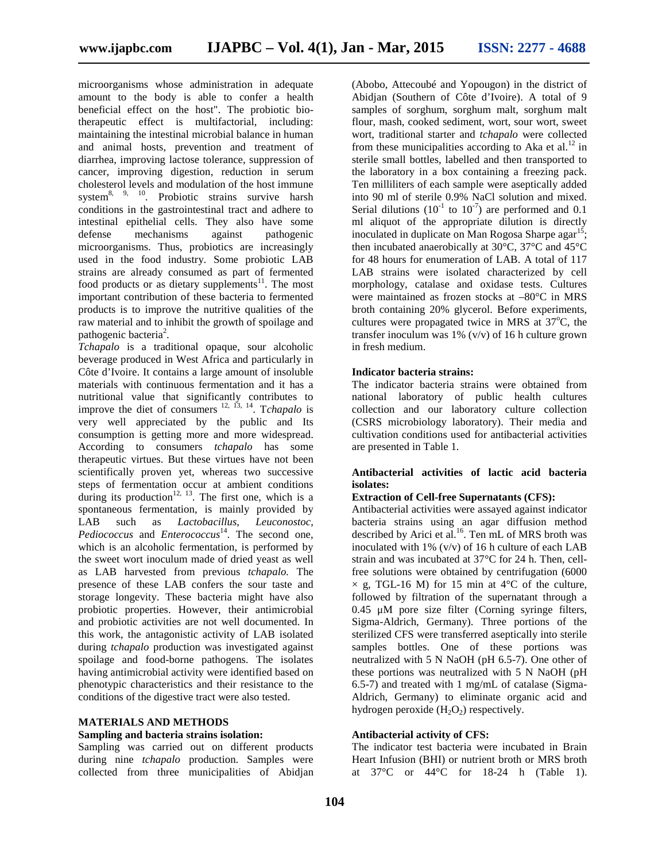microorganisms whose administration in adequate amount to the body is able to confer a health beneficial effect on the host". The probiotic biotherapeutic effect is multifactorial, including: maintaining the intestinal microbial balance in human and animal hosts, prevention and treatment of diarrhea, improving lactose tolerance, suppression of cancer, improving digestion, reduction in serum cholesterol levels and modulation of the host immune system<sup>8, 9, 10</sup>. Probiotic strains survive harsh conditions in the gastrointestinal tract and adhere to intestinal epithelial cells. They also have some defense mechanisms against pathogenic microorganisms. Thus, probiotics are increasingly used in the food industry. Some probiotic LAB strains are already consumed as part of fermented food products or as dietary supplements $1$ . The most important contribution of these bacteria to fermented products is to improve the nutritive qualities of the raw material and to inhibit the growth of spoilage and pathogenic bacteria<sup>2</sup>.

*Tchapalo* is a traditional opaque, sour alcoholic beverage produced in West Africa and particularly in Côte d'Ivoire. It contains a large amount of insoluble materials with continuous fermentation and it has a nutritional value that significantly contributes to improve the diet of consumers 12, 13, 14 . T*chapalo* is very well appreciated by the public and Its consumption is getting more and more widespread. According to consumers *tchapalo* has some therapeutic virtues. But these virtues have not been scientifically proven yet, whereas two successive steps of fermentation occur at ambient conditions during its production<sup>12, 13</sup>. The first one, which is a spontaneous fermentation, is mainly provided by LAB such as *Lactobacillus*, *Leuconostoc*, Pediococcus and *Enterococcus*<sup>14</sup>. The second one, which is an alcoholic fermentation, is performed by the sweet wort inoculum made of dried yeast as well as LAB harvested from previous *tchapalo.* The presence of these LAB confers the sour taste and storage longevity. These bacteria might have also probiotic properties. However, their antimicrobial and probiotic activities are not well documented. In this work, the antagonistic activity of LAB isolated during *tchapalo* production was investigated against spoilage and food-borne pathogens. The isolates having antimicrobial activity were identified based on phenotypic characteristics and their resistance to the conditions of the digestive tract were also tested.

## **MATERIALS AND METHODS**

#### **Sampling and bacteria strains isolation:**

Sampling was carried out on different products during nine *tchapalo* production. Samples were collected from three municipalities of Abidjan

(Abobo, Attecoubé and Yopougon) in the district of Abidjan (Southern of Côte d'Ivoire). A total of 9 samples of sorghum, sorghum malt, sorghum malt flour, mash, cooked sediment, wort, sour wort, sweet wort, traditional starter and *tchapalo* were collected from these municipalities according to Aka et al.<sup>12</sup> in sterile small bottles, labelled and then transported to the laboratory in a box containing a freezing pack. Ten milliliters of each sample were aseptically added into 90 ml of sterile 0.9% NaCl solution and mixed. Serial dilutions  $(10^{-1}$  to  $10^{-7})$  are performed and 0.1 ml aliquot of the appropriate dilution is directly inoculated in duplicate on Man Rogosa Sharpe aga $r^{15}$ ; then incubated anaerobically at 30°C, 37°C and 45°C for 48 hours for enumeration of LAB. A total of 117 LAB strains were isolated characterized by cell morphology, catalase and oxidase tests. Cultures were maintained as frozen stocks at –80°C in MRS broth containing 20% glycerol. Before experiments, cultures were propagated twice in MRS at  $37^{\circ}$ C, the transfer inoculum was 1% (v/v) of 16 h culture grown in fresh medium.

## **Indicator bacteria strains:**

The indicator bacteria strains were obtained from national laboratory of public health cultures collection and our laboratory culture collection (CSRS microbiology laboratory). Their media and cultivation conditions used for antibacterial activities are presented in Table 1.

## **Antibacterial activities of lactic acid bacteria isolates:**

## **Extraction of Cell-free Supernatants (CFS):**

Antibacterial activities were assayed against indicator bacteria strains using an agar diffusion method described by Arici et al.<sup>16</sup>. Ten mL of MRS broth was inoculated with 1% (v/v) of 16 h culture of each LAB strain and was incubated at 37°C for 24 h. Then, cellfree solutions were obtained by centrifugation (6000  $\times$  g, TGL-16 M) for 15 min at 4°C of the culture, followed by filtration of the supernatant through a 0.45 μM pore size filter (Corning syringe filters, Sigma-Aldrich, Germany). Three portions of the sterilized CFS were transferred aseptically into sterile samples bottles. One of these portions was neutralized with 5 N NaOH (pH 6.5-7). One other of these portions was neutralized with 5 N NaOH (pH 6.5-7) and treated with 1 mg/mL of catalase (Sigma- Aldrich, Germany) to eliminate organic acid and hydrogen peroxide  $(H_2O_2)$  respectively.

## **Antibacterial activity of CFS:**

The indicator test bacteria were incubated in Brain Heart Infusion (BHI) or nutrient broth or MRS broth at 37°C or 44°C for 18-24 h (Table 1).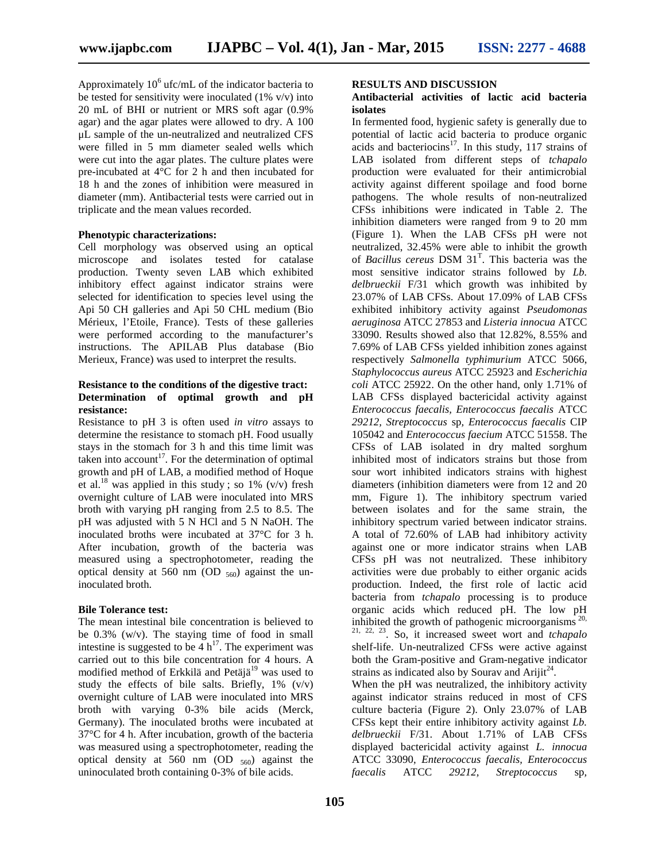Approximately  $10^6$  ufc/mL of the indicator bacteria to be tested for sensitivity were inoculated  $(1\% \text{ v/v})$  into 20 mL of BHI or nutrient or MRS soft agar (0.9% agar) and the agar plates were allowed to dry. A 100 μL sample of the un-neutralized and neutralized CFS were filled in 5 mm diameter sealed wells which were cut into the agar plates. The culture plates were pre-incubated at 4°C for 2 h and then incubated for 18 h and the zones of inhibition were measured in diameter (mm). Antibacterial tests were carried out in triplicate and the mean values recorded.

#### **Phenotypic characterizations:**

Cell morphology was observed using an optical microscope and isolates tested for catalase production. Twenty seven LAB which exhibited inhibitory effect against indicator strains were selected for identification to species level using the Api 50 CH galleries and Api 50 CHL medium (Bio Mérieux, l'Etoile, France). Tests of these galleries were performed according to the manufacturer's instructions. The APILAB Plus database (Bio Merieux, France) was used to interpret the results.

## **Resistance to the conditions of the digestive tract: Determination of optimal growth and pH resistance:**

Resistance to pH 3 is often used *in vitro* assays to determine the resistance to stomach pH. Food usually stays in the stomach for 3 h and this time limit was taken into account<sup>17</sup>. For the determination of optimal growth and pH of LAB, a modified method of Hoque et al.<sup>18</sup> was applied in this study; so  $1\%$  (v/v) fresh overnight culture of LAB were inoculated into MRS broth with varying pH ranging from 2.5 to 8.5. The pH was adjusted with 5 N HCl and 5 N NaOH. The inoculated broths were incubated at 37°C for 3 h. After incubation, growth of the bacteria was measured using a spectrophotometer, reading the optical density at 560 nm (OD  $_{560}$ ) against the uninoculated broth.

## **Bile Tolerance test:**

The mean intestinal bile concentration is believed to be 0.3% (w/v). The staying time of food in small intestine is suggested to be  $4 h^{17}$ . The experiment was carried out to this bile concentration for 4 hours. A modified method of Erkkilä and Petäjä<sup>19</sup> was used to study the effects of bile salts. Briefly,  $1\%$  (v/v) overnight culture of LAB were inoculated into MRS broth with varying 0-3% bile acids (Merck, Germany). The inoculated broths were incubated at 37°C for 4 h. After incubation, growth of the bacteria was measured using a spectrophotometer, reading the optical density at  $560 \text{ nm}$  (OD  $_{560}$ ) against the uninoculated broth containing 0-3% of bile acids.

## **RESULTS AND DISCUSSION**

### **Antibacterial activities of lactic acid bacteria isolates**

In fermented food, hygienic safety is generally due to potential of lactic acid bacteria to produce organic acids and bacteriocins<sup>17</sup>. In this study,  $117$  strains of LAB isolated from different steps of *tchapalo* production were evaluated for their antimicrobial activity against different spoilage and food borne pathogens. The whole results of non-neutralized CFSs inhibitions were indicated in Table 2. The inhibition diameters were ranged from 9 to 20 mm (Figure 1). When the LAB CFSs pH were not neutralized, 32.45% were able to inhibit the growth of *Bacillus cereus* DSM 31<sup>T</sup> . This bacteria was the most sensitive indicator strains followed by *Lb. delbrueckii* F/31 which growth was inhibited by 23.07% of LAB CFSs. About 17.09% of LAB CFSs exhibited inhibitory activity against *Pseudomonas aeruginosa* ATCC 27853 and *Listeria innocua* ATCC 33090. Results showed also that 12.82%, 8.55% and 7.69% of LAB CFSs yielded inhibition zones against respectively *Salmonella typhimurium* ATCC 5066, *Staphylococcus aureus* ATCC 25923 and *Escherichia coli* ATCC 25922. On the other hand, only 1.71% of LAB CFSs displayed bactericidal activity against *Enterococcus faecalis, Enterococcus faecalis* ATCC *29212, Streptococcus* sp*, Enterococcus faecalis* CIP 105042 and *Enterococcus faecium* ATCC 51558. The CFSs of LAB isolated in dry malted sorghum inhibited most of indicators strains but those from sour wort inhibited indicators strains with highest diameters (inhibition diameters were from 12 and 20 mm, Figure 1). The inhibitory spectrum varied between isolates and for the same strain, the inhibitory spectrum varied between indicator strains. A total of 72.60% of LAB had inhibitory activity against one or more indicator strains when LAB CFSs pH was not neutralized. These inhibitory activities were due probably to either organic acids production. Indeed, the first role of lactic acid bacteria from *tchapalo* processing is to produce organic acids which reduced pH. The low pH inhibited the growth of pathogenic microorganisms  $20$ , 21, 22, 23. So, it increased sweet wort and *tchapalo* shelf-life. Un-neutralized CFSs were active against both the Gram-positive and Gram-negative indicator strains as indicated also by Sourav and Arijit $^{24}$ .

When the pH was neutralized, the inhibitory activity against indicator strains reduced in most of CFS culture bacteria (Figure 2). Only 23.07% of LAB CFSs kept their entire inhibitory activity against *Lb. delbrueckii* F/31. About 1.71% of LAB CFSs displayed bactericidal activity against *L. innocua* ATCC 33090, *Enterococcus faecalis, Enterococcus faecalis* ATCC *29212, Streptococcus* sp*,*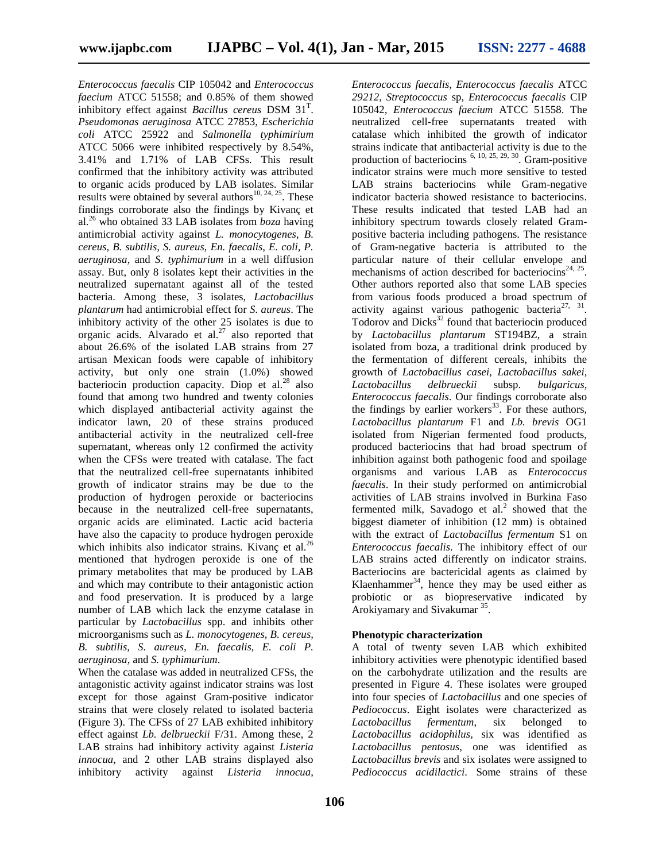*Enterococcus faecalis* CIP 105042 and *Enterococcus faecium* ATCC 51558; and 0.85% of them showed inhibitory effect against *Bacillus cereus* DSM 31<sup>T</sup> . *Pseudomonas aeruginosa* ATCC 27853, *Escherichia coli* ATCC 25922 and *Salmonella typhimirium* ATCC 5066 were inhibited respectively by 8.54%, 3.41% and 1.71% of LAB CFSs. This result confirmed that the inhibitory activity was attributed to organic acids produced by LAB isolates. Similar results were obtained by several authors<sup>10, 24, 25</sup>. These findings corroborate also the findings by Kivanç et al.<sup>26</sup> who obtained 33 LAB isolates from *boza* having antimicrobial activity against *L. monocytogenes, B. cereus, B. subtilis, S. aureus, En. faecalis, E. coli, P. aeruginosa,* and *S. typhimurium* in a well diffusion assay. But, only 8 isolates kept their activities in the neutralized supernatant against all of the tested bacteria. Among these, 3 isolates, *Lactobacillus plantarum* had antimicrobial effect for *S. aureus*. The inhibitory activity of the other 25 isolates is due to organic acids. Alvarado et al.<sup>27</sup> also reported that about 26.6% of the isolated LAB strains from 27 artisan Mexican foods were capable of inhibitory activity, but only one strain (1.0%) showed bacteriocin production capacity. Diop et al. $^{28}$  also *Lactobacillus* found that among two hundred and twenty colonies which displayed antibacterial activity against the indicator lawn, 20 of these strains produced antibacterial activity in the neutralized cell-free supernatant, whereas only 12 confirmed the activity when the CFSs were treated with catalase. The fact that the neutralized cell-free supernatants inhibited growth of indicator strains may be due to the production of hydrogen peroxide or bacteriocins because in the neutralized cell-free supernatants, organic acids are eliminated. Lactic acid bacteria have also the capacity to produce hydrogen peroxide which inhibits also indicator strains. Kivanç et al. $^{26}$ mentioned that hydrogen peroxide is one of the primary metabolites that may be produced by LAB and which may contribute to their antagonistic action and food preservation. It is produced by a large number of LAB which lack the enzyme catalase in particular by *Lactobacillus* spp. and inhibits other microorganisms such as *L. monocytogenes, B. cereus, B. subtilis, S. aureus, En. faecalis, E. coli P. aeruginosa,* and *S. typhimurium*.

When the catalase was added in neutralized CFSs, the antagonistic activity against indicator strains was lost except for those against Gram-positive indicator strains that were closely related to isolated bacteria (Figure 3). The CFSs of 27 LAB exhibited inhibitory effect against *Lb. delbrueckii* F/31. Among these, 2 LAB strains had inhibitory activity against *Listeria innocua*, and 2 other LAB strains displayed also inhibitory activity against *Listeria innocua*,

*Enterococcus faecalis, Enterococcus faecalis* ATCC *29212, Streptococcus* sp*, Enterococcus faecalis* CIP 105042*, Enterococcus faecium* ATCC 51558. The neutralized cell-free supernatants treated with catalase which inhibited the growth of indicator strains indicate that antibacterial activity is due to the production of bacteriocins  $^{6, 10, 25, 29, 30}$ . Gram-positive indicator strains were much more sensitive to tested LAB strains bacteriocins while Gram-negative indicator bacteria showed resistance to bacteriocins. These results indicated that tested LAB had an inhibitory spectrum towards closely related Gram positive bacteria including pathogens. The resistance of Gram-negative bacteria is attributed to the particular nature of their cellular envelope and mechanisms of action described for bacteriocins<sup>24, 25</sup>. Other authors reported also that some LAB species from various foods produced a broad spectrum of activity against various pathogenic bacteria<sup>27, 31</sup>. Todorov and  $\text{Dicks}^{32}$  found that bacteriocin produced by *Lactobacillus plantarum* ST194BZ, a strain isolated from boza, a traditional drink produced by the fermentation of different cereals, inhibits the growth of *Lactobacillus casei*, *Lactobacillus sakei*, *Lactobacillus delbrueckii* subsp. *bulgaricus*, *Enterococcus faecalis*. Our findings corroborate also the findings by earlier workers<sup>33</sup>. For these authors, *Lactobacillus plantarum* F1 and *Lb. brevis* OG1 isolated from Nigerian fermented food products, produced bacteriocins that had broad spectrum of inhibition against both pathogenic food and spoilage organisms and various LAB as *Enterococcus faecalis*. In their study performed on antimicrobial activities of LAB strains involved in Burkina Faso fermented milk, Savadogo et al.<sup>2</sup> showed that the biggest diameter of inhibition (12 mm) is obtained with the extract of *Lactobacillus fermentum* S1 on *Enterococcus faecalis*. The inhibitory effect of our LAB strains acted differently on indicator strains. Bacteriocins are bactericidal agents as claimed by Klaenhammer<sup>34</sup>, hence they may be used either as probiotic or as biopreservative indicated by Arokiyamary and Sivakumar<sup>35</sup>.

## **Phenotypic characterization**

A total of twenty seven LAB which exhibited inhibitory activities were phenotypic identified based on the carbohydrate utilization and the results are presented in Figure 4. These isolates were grouped into four species of *Lactobacillus* and one species of *Pediococcus*. Eight isolates were characterized as *fermentum*, six belonged to *Lactobacillus acidophilus*, six was identified as *Lactobacillus pentosus*, one was identified as *Lactobacillus brevis* and six isolates were assigned to *Pediococcus acidilactici*. Some strains of these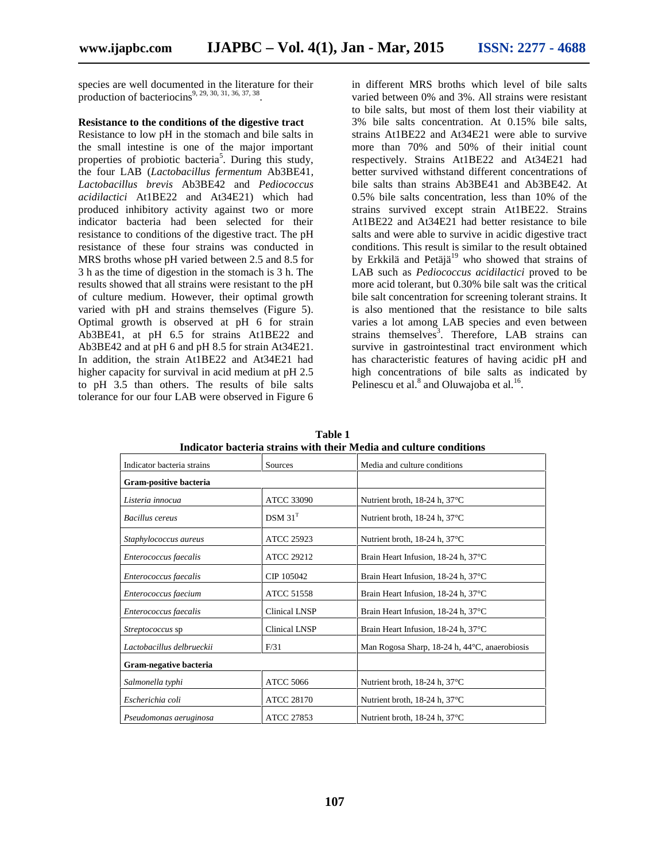species are well documented in the literature for their production of bacteriocins<sup>9, 29, 30, 31, 36, 37, 38</sup> .

## **Resistance to the conditions of the digestive tract**

Resistance to low pH in the stomach and bile salts in the small intestine is one of the major important properties of probiotic bacteria<sup>5</sup>. During this study, the four LAB (*Lactobacillus fermentum* Ab3BE41*, Lactobacillus brevis* Ab3BE42 and *Pediococcus acidilactici* At1BE22 and At34E21) which had produced inhibitory activity against two or more indicator bacteria had been selected for their resistance to conditions of the digestive tract. The pH resistance of these four strains was conducted in MRS broths whose pH varied between 2.5 and 8.5 for 3 h as the time of digestion in the stomach is 3 h. The results showed that all strains were resistant to the pH of culture medium. However, their optimal growth varied with pH and strains themselves (Figure 5). Optimal growth is observed at pH 6 for strain Ab3BE41, at pH 6.5 for strains At1BE22 and Ab3BE42 and at pH 6 and pH 8.5 for strain At34E21. In addition, the strain At1BE22 and At34E21 had higher capacity for survival in acid medium at pH 2.5 to pH 3.5 than others. The results of bile salts tolerance for our four LAB were observed in Figure 6

in different MRS broths which level of bile salts varied between 0% and 3%. All strains were resistant to bile salts, but most of them lost their viability at 3% bile salts concentration. At 0.15% bile salts, strains At1BE22 and At34E21 were able to survive more than 70% and 50% of their initial count respectively. Strains At1BE22 and At34E21 had better survived withstand different concentrations of bile salts than strains Ab3BE41 and Ab3BE42. At 0.5% bile salts concentration, less than 10% of the strains survived except strain At1BE22. Strains At1BE22 and At34E21 had better resistance to bile salts and were able to survive in acidic digestive tract conditions. This result is similar to the result obtained by Erkkilä and Petäjä<sup>19</sup> who showed that strains of LAB such as *Pediococcus acidilactici* proved to be more acid tolerant, but 0.30% bile salt was the critical bile salt concentration for screening tolerant strains. It is also mentioned that the resistance to bile salts varies a lot among LAB species and even between strains themselves<sup>3</sup>. Therefore, LAB strains can survive in gastrointestinal tract environment which has characteristic features of having acidic pH and high concentrations of bile salts as indicated by Pelinescu et al. $^8$  and Oluwajoba et al.<sup>16</sup>.

| Thuicatói Dacteita stráilis with their ivieura and cuithre conditions |                      |                                               |  |  |  |  |  |  |  |
|-----------------------------------------------------------------------|----------------------|-----------------------------------------------|--|--|--|--|--|--|--|
| Indicator bacteria strains                                            | Sources              | Media and culture conditions                  |  |  |  |  |  |  |  |
| Gram-positive bacteria                                                |                      |                                               |  |  |  |  |  |  |  |
| Listeria innocua                                                      | <b>ATCC 33090</b>    | Nutrient broth, $18-24$ h, $37^{\circ}$ C     |  |  |  |  |  |  |  |
| Bacillus cereus                                                       | DSM 31 <sup>T</sup>  | Nutrient broth, $18-24$ h, $37^{\circ}$ C     |  |  |  |  |  |  |  |
| Staphylococcus aureus                                                 | <b>ATCC 25923</b>    | Nutrient broth, $18-24$ h, $37^{\circ}$ C     |  |  |  |  |  |  |  |
| Enterococcus faecalis                                                 | <b>ATCC 29212</b>    | Brain Heart Infusion, 18-24 h, 37°C           |  |  |  |  |  |  |  |
| Enterococcus faecalis                                                 | CIP 105042           | Brain Heart Infusion, 18-24 h, 37°C           |  |  |  |  |  |  |  |
| Enterococcus faecium                                                  | <b>ATCC 51558</b>    | Brain Heart Infusion, 18-24 h, 37°C           |  |  |  |  |  |  |  |
| Enterococcus faecalis                                                 | <b>Clinical LNSP</b> | Brain Heart Infusion, 18-24 h, 37°C           |  |  |  |  |  |  |  |
| Streptococcus sp                                                      | <b>Clinical LNSP</b> | Brain Heart Infusion, 18-24 h, 37°C           |  |  |  |  |  |  |  |
| Lactobacillus delbrueckii                                             | F/31                 | Man Rogosa Sharp, 18-24 h, 44°C, anaerobiosis |  |  |  |  |  |  |  |
| Gram-negative bacteria                                                |                      |                                               |  |  |  |  |  |  |  |
| Salmonella typhi                                                      | <b>ATCC 5066</b>     | Nutrient broth, $18-24$ h, $37^{\circ}$ C     |  |  |  |  |  |  |  |
| Escherichia coli                                                      | <b>ATCC 28170</b>    | Nutrient broth, $18-24$ h, $37^{\circ}$ C     |  |  |  |  |  |  |  |
| Pseudomonas aeruginosa                                                | ATCC 27853           | Nutrient broth, $18-24$ h, $37^{\circ}$ C     |  |  |  |  |  |  |  |

**Table 1 Indicator bacteria strains with their Media and culture conditions**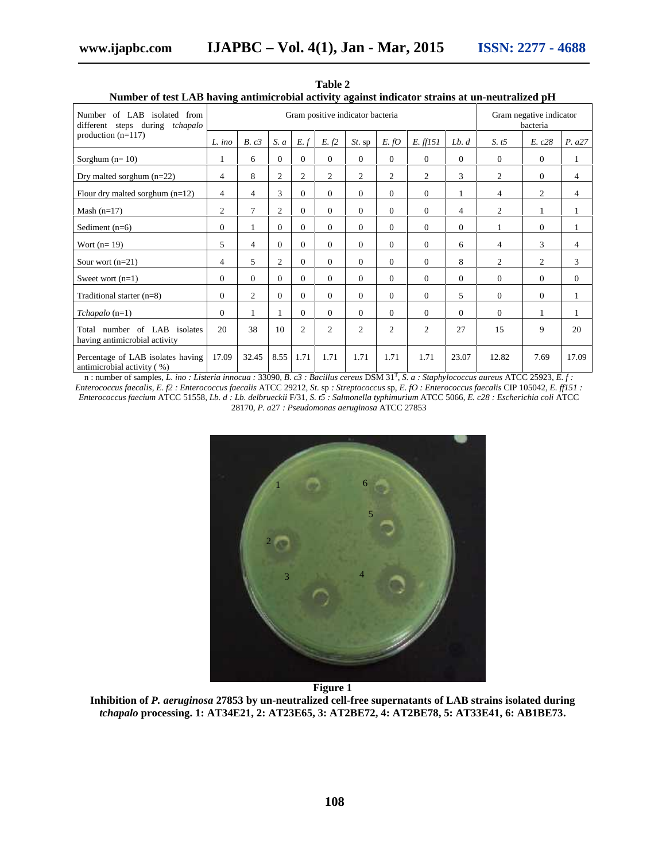| Number of LAB isolated from<br>different steps during tchapalo   | Gram positive indicator bacteria |                |                |                |          |                |                | Gram negative indicator<br>bacteria |                |                  |                |                |
|------------------------------------------------------------------|----------------------------------|----------------|----------------|----------------|----------|----------------|----------------|-------------------------------------|----------------|------------------|----------------|----------------|
| production $(n=117)$                                             | $L$ ino                          | B. c3          | S. a           | E. f           | E. f2    | $St.$ sp       | E. fO          | E. ff151                            | Lb. d          | S. t5            | E. c28         | P. a27         |
| Sorghum $(n=10)$                                                 |                                  | 6              | $\mathbf{0}$   | $\overline{0}$ | $\Omega$ | $\Omega$       | $\overline{0}$ | $\mathbf{0}$                        | $\overline{0}$ | $\boldsymbol{0}$ | $\mathbf{0}$   | 1              |
| Dry malted sorghum $(n=22)$                                      | 4                                | 8              | $\mathfrak{2}$ | 2              | 2        | 2              | 2              | 2                                   | 3              | 2                | 0              | $\overline{4}$ |
| Flour dry malted sorghum $(n=12)$                                | $\overline{4}$                   | $\overline{4}$ | 3              | $\Omega$       | $\theta$ | $\Omega$       | $\Omega$       | $\overline{0}$                      |                | $\overline{4}$   | $\overline{c}$ | $\overline{4}$ |
| Mash $(n=17)$                                                    | $\overline{2}$                   | $\tau$         | $\mathfrak{2}$ | $\overline{0}$ | $\Omega$ | $\Omega$       | $\mathbf{0}$   | $\mathbf{0}$                        | 4              | $\overline{c}$   |                |                |
| Sediment $(n=6)$                                                 | $\Omega$                         | 1              | $\Omega$       | $\Omega$       | $\Omega$ | $\Omega$       | $\Omega$       | $\Omega$                            | $\Omega$       | 1                | $\overline{0}$ |                |
| Wort $(n=19)$                                                    | 5                                | $\overline{4}$ | $\mathbf{0}$   | $\Omega$       | $\Omega$ | $\Omega$       | $\overline{0}$ | $\overline{0}$                      | 6              | $\overline{4}$   | 3              | 4              |
| Sour wort $(n=21)$                                               | $\overline{4}$                   | 5              | $\overline{2}$ | $\Omega$       | $\Omega$ | $\Omega$       | $\Omega$       | $\mathbf{0}$                        | 8              | $\overline{c}$   | $\overline{c}$ | 3              |
| Sweet wort $(n=1)$                                               | $\mathbf{0}$                     | $\Omega$       | $\theta$       | $\Omega$       | $\Omega$ | $\Omega$       | $\mathbf{0}$   | $\theta$                            | $\Omega$       | $\Omega$         | $\mathbf{0}$   | $\Omega$       |
| Traditional starter $(n=8)$                                      | $\mathbf{0}$                     | 2              | $\mathbf{0}$   | $\Omega$       | $\theta$ | $\Omega$       | $\Omega$       | $\overline{0}$                      | 5              | $\Omega$         | 0              | 1              |
| $Tchapalo(n=1)$                                                  | $\mathbf{0}$                     |                |                | $\Omega$       | $\theta$ | $\Omega$       | $\Omega$       | $\mathbf{0}$                        | $\Omega$       | $\overline{0}$   |                |                |
| Total number of LAB<br>isolates<br>having antimicrobial activity | 20                               | 38             | 10             | $\overline{c}$ | 2        | $\overline{2}$ | 2              | $\overline{c}$                      | 27             | 15               | 9              | 20             |
| Percentage of LAB isolates having<br>antimicrobial activity (%)  | 17.09                            | 32.45          | 8.55           | 1.71           | 1.71     | 1.71           | 1.71           | 1.71                                | 23.07          | 12.82            | 7.69           | 17.09          |

**Table 2 Number of test LAB having antimicrobial activity against indicator strains at un-neutralized pH**

n : number of samples, *L. ino : Listeria innocua :* 33090*, B. c3 : Bacillus cereus* DSM 31<sup>T</sup> , *S. a : Staphylococcus aureus* ATCC 25923, *E. f : Enterococcus faecalis, E. f2 : Enterococcus faecalis* ATCC 29212, *St.* sp *: Streptococcus* sp*, E. fO : Enterococcus faecalis* CIP 105042*, E. ff151 : Enterococcus faecium* ATCC 51558*, Lb. d : Lb. delbrueckii* F/31, *S. t5 : Salmonella typhimurium* ATCC 5066, *E. c28 : Escherichia coli* ATCC 28170, *P. a*27 *: Pseudomonas aeruginosa* ATCC 27853



**Figure 1**

**Inhibition of** *P. aeruginosa* **27853 by un-neutralized cell-free supernatants of LAB strains isolated during** *tchapalo* **processing. 1: AT34E21, 2: AT23E65, 3: AT2BE72, 4: AT2BE78, 5: AT33E41, 6: AB1BE73.**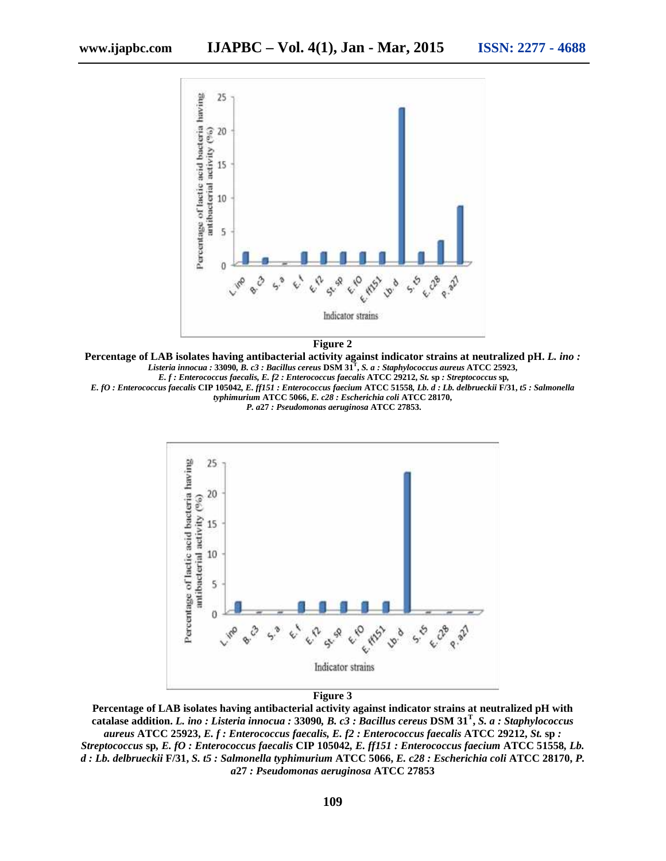

**Figure 2**

**Percentage of LAB isolates having antibacterial activity against indicator strains at neutralized pH.** *L. ino : Listeria innocua :* **33090***, B. c3 : Bacillus cereus* **DSM 31<sup>T</sup> ,** *S. a : Staphylococcus aureus* **ATCC 25923,** *E. f : Enterococcus faecalis, E. f2 : Enterococcus faecalis* **ATCC 29212,** *St.* **sp** *: Streptococcus* **sp***,*

*E. fO : Enterococcus faecalis* **CIP 105042***, E. ff151 : Enterococcus faecium* **ATCC 51558***, Lb. d : Lb. delbrueckii* **F/31,** *t5 : Salmonella typhimurium* **ATCC 5066,** *E. c28 : Escherichia coli* **ATCC 28170,**

*P. a***27** *: Pseudomonas aeruginosa* **ATCC 27853.**



**Figure 3**

**Percentage of LAB isolates having antibacterial activity against indicator strains at neutralized pH with catalase addition.** *L. ino : Listeria innocua :* **33090***, B. c3 : Bacillus cereus* **DSM 31<sup>T</sup> ,** *S. a : Staphylococcus aureus* **ATCC 25923,** *E. f : Enterococcus faecalis, E. f2 : Enterococcus faecalis* **ATCC 29212,** *St.* **sp** *: Streptococcus* **sp***, E. fO : Enterococcus faecalis* **CIP 105042***, E. ff151 : Enterococcus faecium* **ATCC 51558***, Lb. d : Lb. delbrueckii* **F/31,** *S. t5 : Salmonella typhimurium* **ATCC 5066,** *E. c28 : Escherichia coli* **ATCC 28170,** *P. a***27** *: Pseudomonas aeruginosa* **ATCC 27853**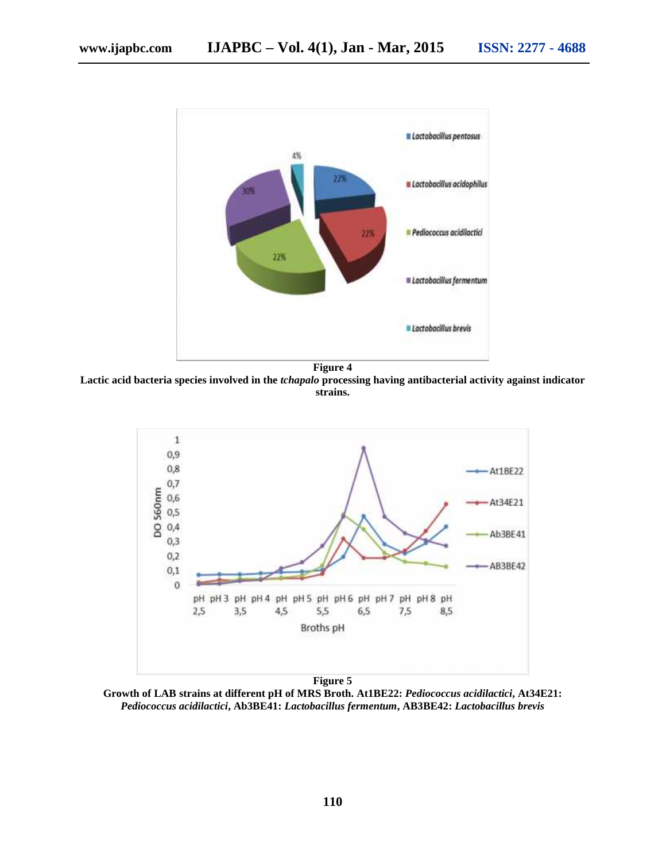

**Lactic acid bacteria species involved in the** *tchapalo* **processing having antibacterial activity against indicator strains.**



**Growth of LAB strains at different pH of MRS Broth. At1BE22:** *Pediococcus acidilactici***, At34E21:** *Pediococcus acidilactici***, Ab3BE41:** *Lactobacillus fermentum***, AB3BE42:** *Lactobacillus brevis*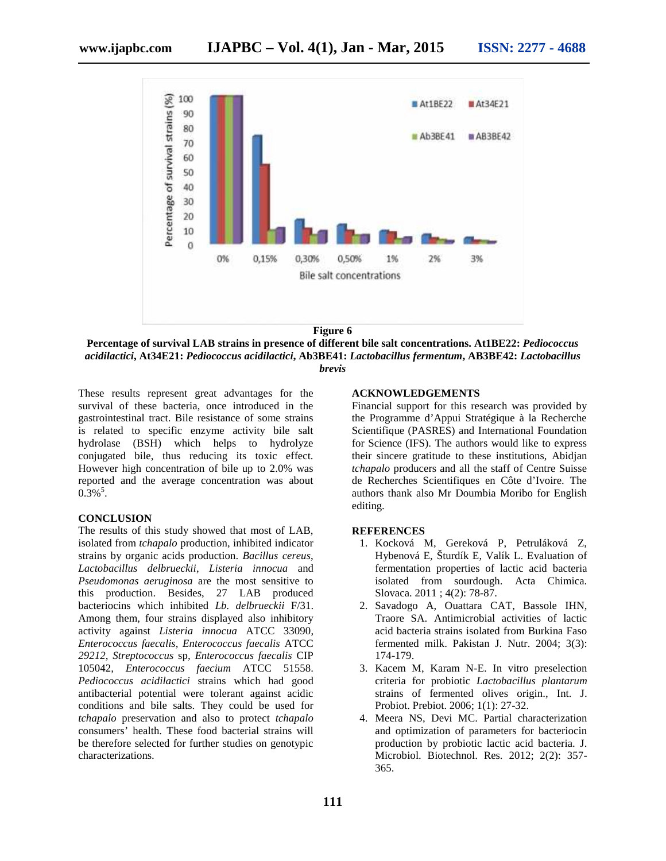



These results represent great advantages for the survival of these bacteria, once introduced in the gastrointestinal tract. Bile resistance of some strains is related to specific enzyme activity bile salt hydrolase (BSH) which helps to hydrolyze conjugated bile, thus reducing its toxic effect. However high concentration of bile up to 2.0% was reported and the average concentration was about  $0.3\%$ <sup>5</sup>.

#### **CONCLUSION**

The results of this study showed that most of LAB, isolated from *tchapalo* production, inhibited indicator strains by organic acids production. *Bacillus cereus*, *Lactobacillus delbrueckii*, *Listeria innocua* and *Pseudomonas aeruginosa* are the most sensitive to this production. Besides, 27 LAB produced bacteriocins which inhibited *Lb. delbrueckii* F/31. Among them, four strains displayed also inhibitory activity against *Listeria innocua* ATCC 33090, *Enterococcus faecalis, Enterococcus faecalis* ATCC *29212, Streptococcus* sp*, Enterococcus faecalis* CIP 105042*, Enterococcus faecium* ATCC 51558. *Pediococcus acidilactici* strains which had good antibacterial potential were tolerant against acidic conditions and bile salts. They could be used for *tchapalo* preservation and also to protect *tchapalo* consumers' health. These food bacterial strains will be therefore selected for further studies on genotypic characterizations.

## **ACKNOWLEDGEMENTS**

Financial support for this research was provided by the Programme d'Appui Stratégique à la Recherche Scientifique (PASRES) and International Foundation for Science (IFS). The authors would like to express their sincere gratitude to these institutions, Abidjan *tchapalo* producers and all the staff of Centre Suisse de Recherches Scientifiques en Côte d'Ivoire. The authors thank also Mr Doumbia Moribo for English editing.

#### **REFERENCES**

- 1. Kocková M, Gereková P, Petruláková Z, Hybenová E, Šturdík E, Valík L. Evaluation of fermentation properties of lactic acid bacteria isolated from sourdough. Acta Chimica. Slovaca. 2011 ; 4(2): 78-87.
- 2. Savadogo A, Ouattara CAT, Bassole IHN, Traore SA. Antimicrobial activities of lactic acid bacteria strains isolated from Burkina Faso fermented milk. Pakistan J. Nutr. 2004; 3(3): 174-179.
- 3. Kacem M, Karam N-E. In vitro preselection criteria for probiotic *Lactobacillus plantarum* strains of fermented olives origin., Int. J. Probiot. Prebiot. 2006; 1(1): 27-32.
- 4. Meera NS, Devi MC. Partial characterization and optimization of parameters for bacteriocin production by probiotic lactic acid bacteria. J. Microbiol. Biotechnol. Res. 2012; 2(2): 357- 365.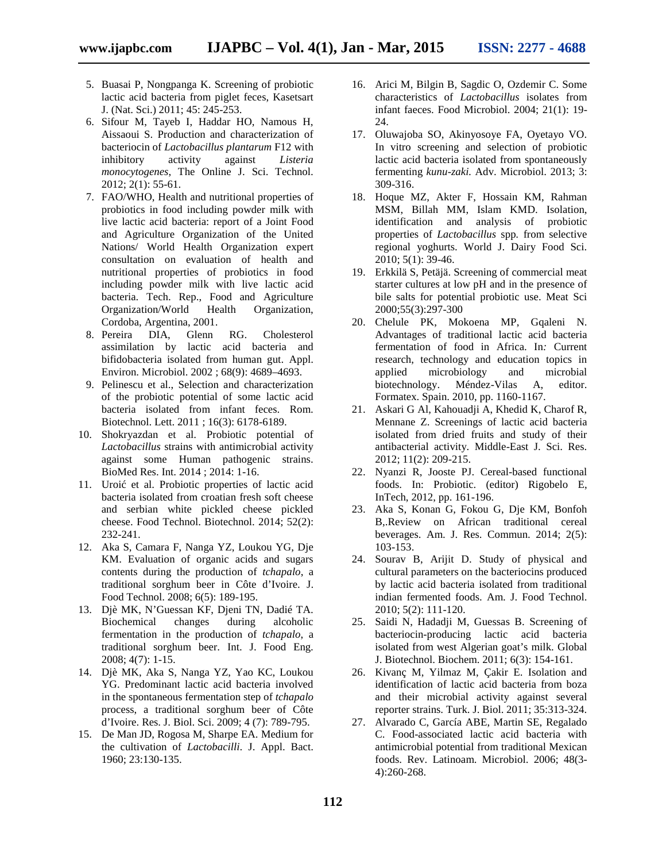- 5. Buasai P, Nongpanga K. Screening of probiotic lactic acid bacteria from piglet feces, Kasetsart J. (Nat. Sci.) 2011; 45: 245-253.
- 6. Sifour M, Tayeb I, Haddar HO, Namous H, Aissaoui S. Production and characterization of bacteriocin of *Lactobacillus plantarum* F12 with inhibitory activity against *Listeria monocytogenes*, The Online J. Sci. Technol. 2012; 2(1): 55-61.
- 7. FAO/WHO, Health and nutritional properties of probiotics in food including powder milk with live lactic acid bacteria: report of a Joint Food and Agriculture Organization of the United Nations/ World Health Organization expert consultation on evaluation of health and nutritional properties of probiotics in food including powder milk with live lactic acid bacteria. Tech. Rep., Food and Agriculture Organization/World Health Organization, Cordoba, Argentina, 2001.
- 8. Pereira DIA, Glenn RG. Cholesterol assimilation by lactic acid bacteria and bifidobacteria isolated from human gut. Appl. Environ. Microbiol. 2002 ; 68(9): 4689–4693.
- 9. Pelinescu et al., Selection and characterization of the probiotic potential of some lactic acid bacteria isolated from infant feces. Rom. Biotechnol. Lett. 2011 ; 16(3): 6178-6189.
- 10. Shokryazdan et al. Probiotic potential of *Lactobacillus* strains with antimicrobial activity against some Human pathogenic strains. BioMed Res. Int. 2014 ; 2014: 1-16.
- 11. Uroi et al. Probiotic properties of lactic acid bacteria isolated from croatian fresh soft cheese and serbian white pickled cheese pickled cheese. Food Technol. Biotechnol. 2014; 52(2): 232-241.
- 12. Aka S, Camara F, Nanga YZ, Loukou YG, Dje KM. Evaluation of organic acids and sugars contents during the production of *tchapalo*, a traditional sorghum beer in Côte d'Ivoire. J. Food Technol. 2008; 6(5): 189-195.
- 13. Djè MK, N'Guessan KF, Djeni TN, Dadié TA. Biochemical changes during alcoholic fermentation in the production of *tchapalo*, a traditional sorghum beer. Int. J. Food Eng. 2008; 4(7): 1-15.
- 14. Djè MK, Aka S, Nanga YZ, Yao KC, Loukou YG. Predominant lactic acid bacteria involved in the spontaneous fermentation step of *tchapalo* process, a traditional sorghum beer of Côte d'Ivoire. Res. J. Biol. Sci. 2009; 4 (7): 789-795.
- 15. De Man JD, Rogosa M, Sharpe EA. Medium for the cultivation of *Lactobacilli*. J. Appl. Bact. 1960; 23:130-135.
- 16. Arici M, Bilgin B, Sagdic O, Ozdemir C. Some characteristics of *Lactobacillus* isolates from infant faeces. Food Microbiol. 2004; 21(1): 19- 24.
- 17. Oluwajoba SO, Akinyosoye FA, Oyetayo VO. In vitro screening and selection of probiotic lactic acid bacteria isolated from spontaneously fermenting *kunu-zaki.* Adv. Microbiol. 2013; 3: 309-316.
- 18. Hoque MZ, Akter F, Hossain KM, Rahman MSM, Billah MM, Islam KMD. Isolation, identification and analysis of probiotic properties of *Lactobacillus* spp*.* from selective regional yoghurts. World J. Dairy Food Sci. 2010; 5(1): 39-46.
- 19. Erkkilä S, Petäjä. Screening of commercial meat starter cultures at low pH and in the presence of bile salts for potential probiotic use. Meat Sci 2000;55(3):297-300
- 20. Chelule PK, Mokoena MP, Gqaleni N. Advantages of traditional lactic acid bacteria fermentation of food in Africa. In*:* Current research, technology and education topics in applied microbiology and microbial biotechnology. Méndez-Vilas A, editor. Formatex. Spain. 2010, pp. 1160-1167.
- 21. Askari G Al, Kahouadji A, Khedid K, Charof R, Mennane Z. Screenings of lactic acid bacteria isolated from dried fruits and study of their antibacterial activity. Middle-East J. Sci. Res. 2012; 11(2): 209-215.
- 22. Nyanzi R, Jooste PJ. Cereal-based functional foods. In: Probiotic. (editor) Rigobelo E, InTech, 2012, pp. 161-196.
- 23. Aka S, Konan G, Fokou G, Dje KM, Bonfoh B,.Review on African traditional cereal beverages. Am. J. Res. Commun. 2014; 2(5): 103-153.
- 24. Sourav B, Arijit D. Study of physical and cultural parameters on the bacteriocins produced by lactic acid bacteria isolated from traditional indian fermented foods. Am. J. Food Technol. 2010; 5(2): 111-120.
- 25. Saidi N, Hadadji M, Guessas B. Screening of bacteriocin-producing lactic acid bacteria isolated from west Algerian goat's milk. Global J. Biotechnol. Biochem. 2011; 6(3): 154-161.
- 26. Kivanç M, Yilmaz M, Çakir E. Isolation and identification of lactic acid bacteria from boza and their microbial activity against several reporter strains. Turk. J. Biol. 2011; 35:313-324.
- 27. Alvarado C, García ABE, Martin SE, Regalado C. Food-associated lactic acid bacteria with antimicrobial potential from traditional Mexican foods. Rev. Latinoam. Microbiol. 2006; 48(3- 4):260-268.